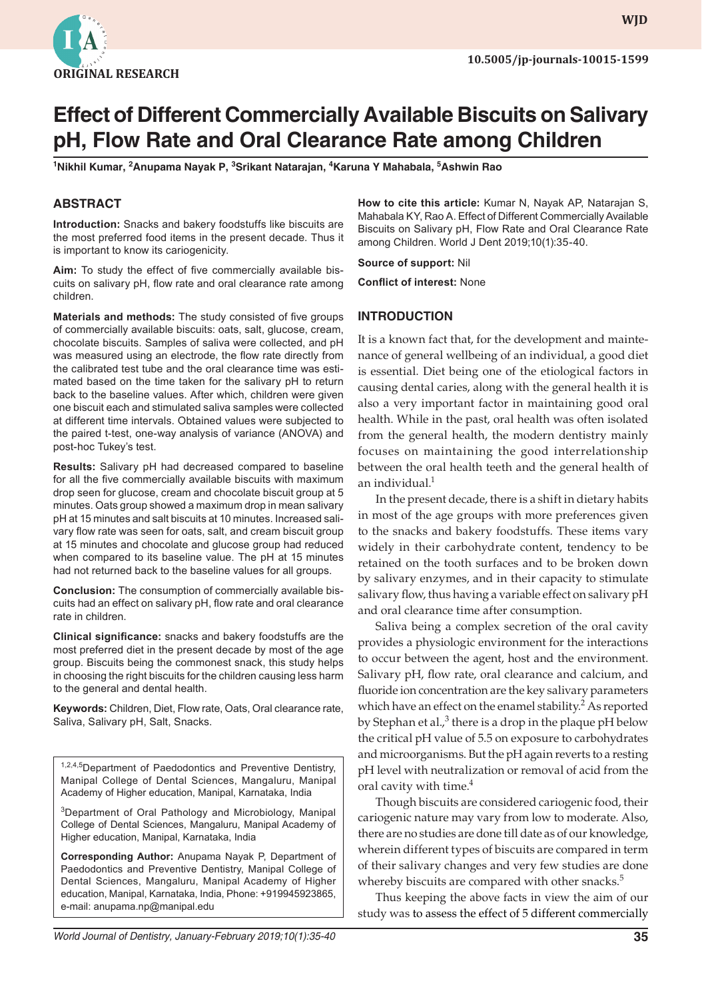

**WJD WJD**

# **Effect of Different Commercially Available Biscuits on Salivary pH, Flow Rate and Oral Clearance Rate among Children**

 $^{\mathsf{1}}$ Nikhil Kumar, <sup>2</sup>Anupama Nayak P,  $^{\mathsf{3}}$ Srikant Natarajan,  $^{\mathsf{4}}$ Karuna Y Mahabala,  $^{\mathsf{5}}$ Ashwin Rao

## **ABSTRACT**

**Introduction:** Snacks and bakery foodstuffs like biscuits are the most preferred food items in the present decade. Thus it is important to know its cariogenicity.

**Aim:** To study the effect of five commercially available biscuits on salivary pH, flow rate and oral clearance rate among children.

**Materials and methods:** The study consisted of five groups of commercially available biscuits: oats, salt, glucose, cream, chocolate biscuits. Samples of saliva were collected, and pH was measured using an electrode, the flow rate directly from the calibrated test tube and the oral clearance time was estimated based on the time taken for the salivary pH to return back to the baseline values. After which, children were given one biscuit each and stimulated saliva samples were collected at different time intervals. Obtained values were subjected to the paired t-test, one-way analysis of variance (ANOVA) and post-hoc Tukey's test.

**Results:** Salivary pH had decreased compared to baseline for all the five commercially available biscuits with maximum drop seen for glucose, cream and chocolate biscuit group at 5 minutes. Oats group showed a maximum drop in mean salivary pH at 15 minutes and salt biscuits at 10 minutes. Increased salivary flow rate was seen for oats, salt, and cream biscuit group at 15 minutes and chocolate and glucose group had reduced when compared to its baseline value. The pH at 15 minutes had not returned back to the baseline values for all groups.

**Conclusion:** The consumption of commercially available biscuits had an effect on salivary pH, flow rate and oral clearance rate in children.

**Clinical significance:** snacks and bakery foodstuffs are the most preferred diet in the present decade by most of the age group. Biscuits being the commonest snack, this study helps in choosing the right biscuits for the children causing less harm to the general and dental health.

**Keywords:** Children, Diet, Flow rate, Oats, Oral clearance rate, Saliva, Salivary pH, Salt, Snacks.

1,2,4,5 Department of Paedodontics and Preventive Dentistry, Manipal College of Dental Sciences, Mangaluru, Manipal Academy of Higher education, Manipal, Karnataka, India

<sup>3</sup>Department of Oral Pathology and Microbiology, Manipal College of Dental Sciences, Mangaluru, Manipal Academy of Higher education, Manipal, Karnataka, India

**Corresponding Author:** Anupama Nayak P, Department of Paedodontics and Preventive Dentistry, Manipal College of Dental Sciences, Mangaluru, Manipal Academy of Higher education, Manipal, Karnataka, India, Phone: +919945923865, e-mail: anupama.np@manipal.edu

**How to cite this article:** Kumar N, Nayak AP, Natarajan S, Mahabala KY, Rao A. Effect of Different Commercially Available Biscuits on Salivary pH, Flow Rate and Oral Clearance Rate among Children. World J Dent 2019;10(1):35-40.

**Source of support:** Nil

**Conflict of interest:** None

## **INTRODUCTION**

It is a known fact that, for the development and maintenance of general wellbeing of an individual, a good diet is essential. Diet being one of the etiological factors in causing dental caries, along with the general health it is also a very important factor in maintaining good oral health. While in the past, oral health was often isolated from the general health, the modern dentistry mainly focuses on maintaining the good interrelationship between the oral health teeth and the general health of an individual. $1$ 

In the present decade, there is a shift in dietary habits in most of the age groups with more preferences given to the snacks and bakery foodstuffs. These items vary widely in their carbohydrate content, tendency to be retained on the tooth surfaces and to be broken down by salivary enzymes, and in their capacity to stimulate salivary flow, thus having a variable effect on salivary pH and oral clearance time after consumption.

Saliva being a complex secretion of the oral cavity provides a physiologic environment for the interactions to occur between the agent, host and the environment. Salivary pH, flow rate, oral clearance and calcium, and fluoride ion concentration are the key salivary parameters which have an effect on the enamel stability.<sup>2</sup> As reported by Stephan et al., $^3$  there is a drop in the plaque pH below the critical pH value of 5.5 on exposure to carbohydrates and microorganisms. But the pH again reverts to a resting pH level with neutralization or removal of acid from the oral cavity with time.<sup>4</sup>

Though biscuits are considered cariogenic food, their cariogenic nature may vary from low to moderate. Also, there are no studies are done till date as of our knowledge, wherein different types of biscuits are compared in term of their salivary changes and very few studies are done whereby biscuits are compared with other snacks.<sup>5</sup>

Thus keeping the above facts in view the aim of our study was to assess the effect of 5 different commercially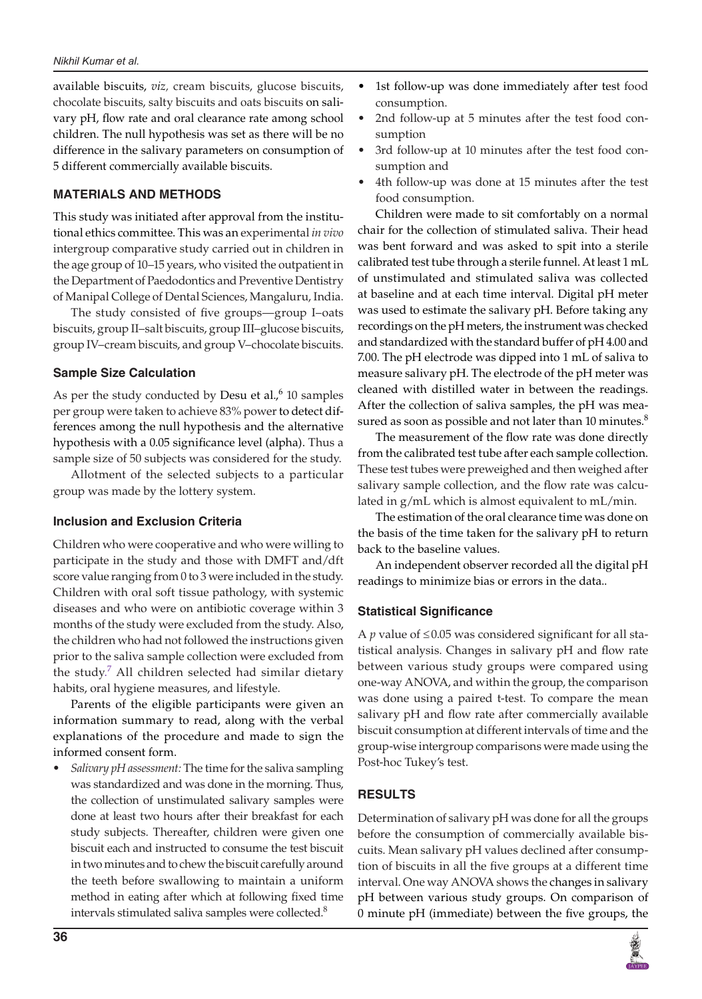#### *Nikhil Kumar et al.*

available biscuits, *viz,* cream biscuits, glucose biscuits, chocolate biscuits, salty biscuits and oats biscuits on salivary pH, flow rate and oral clearance rate among school children. The null hypothesis was set as there will be no difference in the salivary parameters on consumption of 5 different commercially available biscuits.

## **MATERIALS AND METHODS**

This study was initiated after approval from the institutional ethics committee. This was an experimental *in vivo* intergroup comparative study carried out in children in the age group of 10–15 years, who visited the outpatient in the Department of Paedodontics and Preventive Dentistry of Manipal College of Dental Sciences, Mangaluru, India.

The study consisted of five groups—group I–oats biscuits, group II–salt biscuits, group III–glucose biscuits, group IV–cream biscuits, and group V–chocolate biscuits.

## **Sample Size Calculation**

As per the study conducted by Desu et al., $6$  10 samples per group were taken to achieve 83% power to detect differences among the null hypothesis and the alternative hypothesis with a 0.05 significance level (alpha). Thus a sample size of 50 subjects was considered for the study.

Allotment of the selected subjects to a particular group was made by the lottery system.

## **Inclusion and Exclusion Criteria**

Children who were cooperative and who were willing to participate in the study and those with DMFT and/dft score value ranging from 0 to 3 were included in the study. Children with oral soft tissue pathology, with systemic diseases and who were on antibiotic coverage within 3 months of the study were excluded from the study. Also, the children who had not followed the instructions given prior to the saliva sample collection were excluded from the study.<sup>7</sup> All children selected had similar dietary habits, oral hygiene measures, and lifestyle.

Parents of the eligible participants were given an information summary to read, along with the verbal explanations of the procedure and made to sign the informed consent form.

*• Salivary pH assessment:* The time for the saliva sampling was standardized and was done in the morning. Thus, the collection of unstimulated salivary samples were done at least two hours after their breakfast for each study subjects. Thereafter, children were given one biscuit each and instructed to consume the test biscuit in two minutes and to chew the biscuit carefully around the teeth before swallowing to maintain a uniform method in eating after which at following fixed time intervals stimulated saliva samples were collected.<sup>8</sup>

- 1st follow-up was done immediately after test food consumption.
- 2nd follow-up at 5 minutes after the test food consumption
- 3rd follow-up at 10 minutes after the test food consumption and
- 4th follow-up was done at 15 minutes after the test food consumption.

Children were made to sit comfortably on a normal chair for the collection of stimulated saliva. Their head was bent forward and was asked to spit into a sterile calibrated test tube through a sterile funnel. At least 1 mL of unstimulated and stimulated saliva was collected at baseline and at each time interval. Digital pH meter was used to estimate the salivary pH. Before taking any recordings on the pH meters, the instrument was checked and standardized with the standard buffer of pH 4.00 and 7.00. The pH electrode was dipped into 1 mL of saliva to measure salivary pH. The electrode of the pH meter was cleaned with distilled water in between the readings. After the collection of saliva samples, the pH was measured as soon as possible and not later than 10 minutes. $8$ 

The measurement of the flow rate was done directly from the calibrated test tube after each sample collection. These test tubes were preweighed and then weighed after salivary sample collection, and the flow rate was calculated in g/mL which is almost equivalent to mL/min.

The estimation of the oral clearance time was done on the basis of the time taken for the salivary pH to return back to the baseline values.

An independent observer recorded all the digital pH readings to minimize bias or errors in the data..

# **Statistical Significance**

A  $p$  value of  $\leq$  0.05 was considered significant for all statistical analysis. Changes in salivary pH and flow rate between various study groups were compared using one-way ANOVA, and within the group, the comparison was done using a paired t-test. To compare the mean salivary pH and flow rate after commercially available biscuit consumption at different intervals of time and the group-wise intergroup comparisons were made using the Post-hoc Tukey's test.

# **RESULTS**

Determination of salivary pH was done for all the groups before the consumption of commercially available biscuits. Mean salivary pH values declined after consumption of biscuits in all the five groups at a different time interval. One way ANOVA shows the changes in salivary pH between various study groups. On comparison of 0 minute pH (immediate) between the five groups, the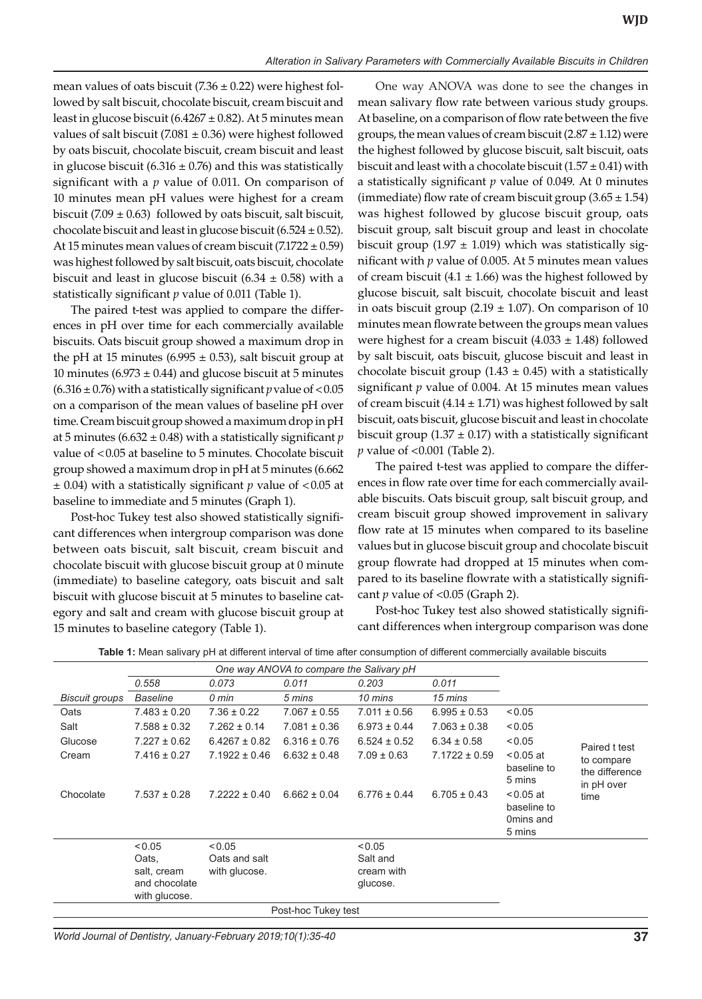mean values of oats biscuit (7.36  $\pm$  0.22) were highest followed by salt biscuit, chocolate biscuit, cream biscuit and least in glucose biscuit (6.4267  $\pm$  0.82). At 5 minutes mean values of salt biscuit (7.081  $\pm$  0.36) were highest followed by oats biscuit, chocolate biscuit, cream biscuit and least in glucose biscuit (6.316  $\pm$  0.76) and this was statistically significant with a *p* value of 0.011. On comparison of 10 minutes mean pH values were highest for a cream biscuit (7.09  $\pm$  0.63) followed by oats biscuit, salt biscuit, chocolate biscuit and least in glucose biscuit  $(6.524 \pm 0.52)$ . At 15 minutes mean values of cream biscuit  $(7.1722 \pm 0.59)$ was highest followed by salt biscuit, oats biscuit, chocolate biscuit and least in glucose biscuit  $(6.34 \pm 0.58)$  with a statistically significant *p* value of 0.011 (Table 1).

The paired t-test was applied to compare the differences in pH over time for each commercially available biscuits. Oats biscuit group showed a maximum drop in the pH at 15 minutes (6.995  $\pm$  0.53), salt biscuit group at 10 minutes (6.973  $\pm$  0.44) and glucose biscuit at 5 minutes  $(6.316 \pm 0.76)$  with a statistically significant *p* value of <0.05 on a comparison of the mean values of baseline pH over time. Cream biscuit group showed a maximum drop in pH at 5 minutes (6.632 ± 0.48) with a statistically significant *p* value of <0.05 at baseline to 5 minutes. Chocolate biscuit group showed a maximum drop in pH at 5 minutes (6.662 ± 0.04) with a statistically significant *p* value of <0.05 at baseline to immediate and 5 minutes (Graph 1).

Post-hoc Tukey test also showed statistically significant differences when intergroup comparison was done between oats biscuit, salt biscuit, cream biscuit and chocolate biscuit with glucose biscuit group at 0 minute (immediate) to baseline category, oats biscuit and salt biscuit with glucose biscuit at 5 minutes to baseline category and salt and cream with glucose biscuit group at 15 minutes to baseline category (Table 1).

One way ANOVA was done to see the changes in mean salivary flow rate between various study groups. At baseline, on a comparison of flow rate between the five groups, the mean values of cream biscuit  $(2.87 \pm 1.12)$  were the highest followed by glucose biscuit, salt biscuit, oats biscuit and least with a chocolate biscuit  $(1.57 \pm 0.41)$  with a statistically significant *p* value of 0.049. At 0 minutes (immediate) flow rate of cream biscuit group  $(3.65 \pm 1.54)$ was highest followed by glucose biscuit group, oats biscuit group, salt biscuit group and least in chocolate biscuit group (1.97  $\pm$  1.019) which was statistically significant with *p* value of 0.005. At 5 minutes mean values of cream biscuit (4.1  $\pm$  1.66) was the highest followed by glucose biscuit, salt biscuit, chocolate biscuit and least in oats biscuit group  $(2.19 \pm 1.07)$ . On comparison of 10 minutes mean flowrate between the groups mean values were highest for a cream biscuit  $(4.033 \pm 1.48)$  followed by salt biscuit, oats biscuit, glucose biscuit and least in chocolate biscuit group  $(1.43 \pm 0.45)$  with a statistically significant *p* value of 0.004. At 15 minutes mean values of cream biscuit  $(4.14 \pm 1.71)$  was highest followed by salt biscuit, oats biscuit, glucose biscuit and least in chocolate biscuit group  $(1.37 \pm 0.17)$  with a statistically significant *p* value of <0.001 (Table 2).

The paired t-test was applied to compare the differences in flow rate over time for each commercially available biscuits. Oats biscuit group, salt biscuit group, and cream biscuit group showed improvement in salivary flow rate at 15 minutes when compared to its baseline values but in glucose biscuit group and chocolate biscuit group flowrate had dropped at 15 minutes when compared to its baseline flowrate with a statistically significant *p* value of <0.05 (Graph 2).

Post-hoc Tukey test also showed statistically significant differences when intergroup comparison was done

|                | 0.558                          | 0.073             | 0.011            | 0.203            | 0.011             |                                                   |                                            |
|----------------|--------------------------------|-------------------|------------------|------------------|-------------------|---------------------------------------------------|--------------------------------------------|
| Biscuit groups | <b>Baseline</b>                | 0 min             | 5 mins           | 10 mins          | 15 mins           |                                                   |                                            |
| Oats           | $7.483 \pm 0.20$               | $7.36 \pm 0.22$   | $7.067 \pm 0.55$ | $7.011 \pm 0.56$ | $6.995 \pm 0.53$  | < 0.05                                            |                                            |
| Salt           | $7.588 \pm 0.32$               | $7.262 \pm 0.14$  | $7.081 \pm 0.36$ | $6.973 \pm 0.44$ | $7.063 \pm 0.38$  | < 0.05                                            |                                            |
| Glucose        | $7.227 \pm 0.62$               | $6.4267 \pm 0.82$ | $6.316 \pm 0.76$ | $6.524 \pm 0.52$ | $6.34 \pm 0.58$   | < 0.05                                            | Paired t test                              |
| Cream          | $7.416 \pm 0.27$               | $7.1922 \pm 0.46$ | $6.632 \pm 0.48$ | $7.09 \pm 0.63$  | $7.1722 \pm 0.59$ | $< 0.05$ at<br>baseline to<br>5 mins              | to compare<br>the difference<br>in pH over |
| Chocolate      | $7.537 \pm 0.28$               | $7.2222 \pm 0.40$ | $6.662 \pm 0.04$ | $6.776 \pm 0.44$ | $6.705 \pm 0.43$  | $< 0.05$ at<br>baseline to<br>Omins and<br>5 mins | time                                       |
|                | < 0.05                         | < 0.05            |                  | < 0.05           |                   |                                                   |                                            |
|                | Oats.                          | Oats and salt     |                  | Salt and         |                   |                                                   |                                            |
|                | salt, cream                    | with glucose.     |                  | cream with       |                   |                                                   |                                            |
|                | and chocolate<br>with glucose. |                   |                  | glucose.         |                   |                                                   |                                            |
|                |                                |                   |                  |                  |                   |                                                   |                                            |

**Table 1:** Mean salivary pH at different interval of time after consumption of different commercially available biscuits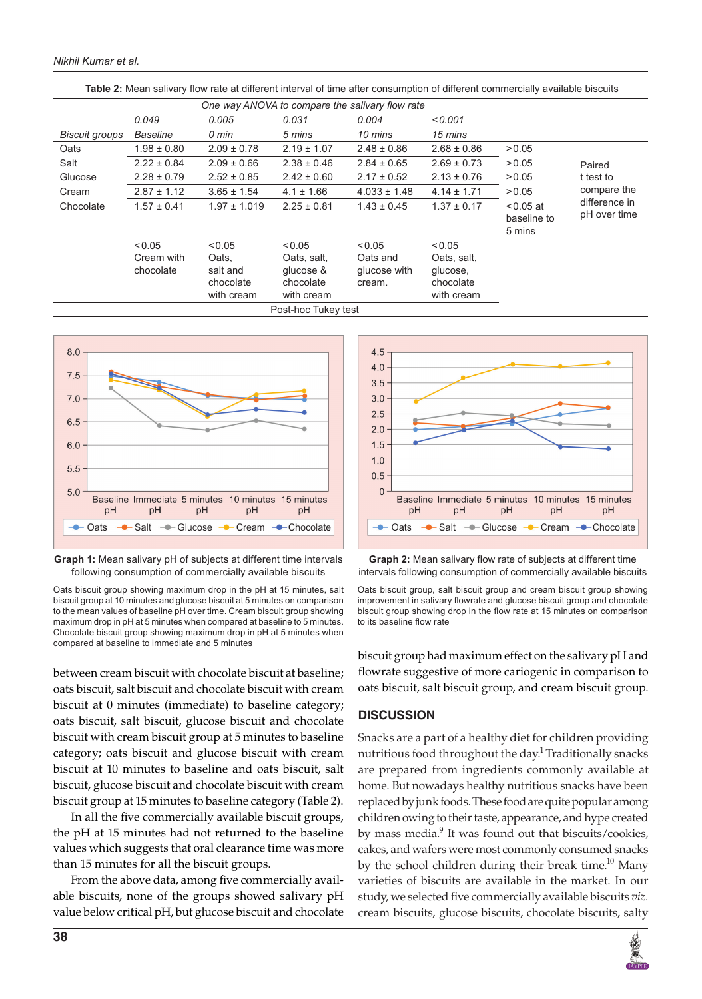|                       |                 | One way ANOVA to compare the salivary flow rate |                 |                  |                 |             |                               |
|-----------------------|-----------------|-------------------------------------------------|-----------------|------------------|-----------------|-------------|-------------------------------|
|                       | 0.049           | 0.005                                           | 0.031           | 0.004            | 0.001           |             |                               |
| <b>Biscuit groups</b> | <b>Baseline</b> | 0 min                                           | 5 mins          | 10 mins          | 15 mins         |             |                               |
| Oats                  | $1.98 \pm 0.80$ | $2.09 \pm 0.78$                                 | $2.19 \pm 1.07$ | $2.48 \pm 0.86$  | $2.68 \pm 0.86$ | > 0.05      |                               |
| Salt                  | $2.22 \pm 0.84$ | $2.09 \pm 0.66$                                 | $2.38 \pm 0.46$ | $2.84 \pm 0.65$  | $2.69 \pm 0.73$ | > 0.05      | Paired                        |
| Glucose               | $2.28 \pm 0.79$ | $2.52 \pm 0.85$                                 | $2.42 \pm 0.60$ | $2.17 \pm 0.52$  | $2.13 \pm 0.76$ | > 0.05      | t test to                     |
| Cream                 | $2.87 \pm 1.12$ | $3.65 \pm 1.54$                                 | $4.1 \pm 1.66$  | $4.033 \pm 1.48$ | $4.14 \pm 1.71$ | > 0.05      | compare the                   |
| Chocolate             | $1.57 \pm 0.41$ | $1.97 \pm 1.019$                                | $2.25 \pm 0.81$ | $1.43 \pm 0.45$  | $1.37 \pm 0.17$ | $< 0.05$ at | difference in<br>pH over time |
|                       |                 |                                                 |                 |                  |                 | baseline to |                               |
|                       |                 |                                                 |                 |                  |                 | 5 mins      |                               |
|                       | < 0.05          | < 0.05                                          | < 0.05          | < 0.05           | < 0.05          |             |                               |
|                       | Cream with      | Oats.                                           | Oats, salt,     | Oats and         | Oats, salt,     |             |                               |
|                       | chocolate       | salt and                                        | glucose &       | glucose with     | glucose,        |             |                               |
|                       |                 | chocolate                                       | chocolate       | cream.           | chocolate       |             |                               |
|                       |                 | with cream                                      | with cream      |                  | with cream      |             |                               |
|                       |                 |                                                 |                 |                  |                 |             |                               |

**Table 2:** Mean salivary flow rate at different interval of time after consumption of different commercially available biscuits



**Graph 1:** Mean salivary pH of subjects at different time intervals following consumption of commercially available biscuits

Oats biscuit group showing maximum drop in the pH at 15 minutes, salt biscuit group at 10 minutes and glucose biscuit at 5 minutes on comparison to the mean values of baseline pH over time. Cream biscuit group showing maximum drop in pH at 5 minutes when compared at baseline to 5 minutes. Chocolate biscuit group showing maximum drop in pH at 5 minutes when compared at baseline to immediate and 5 minutes

between cream biscuit with chocolate biscuit at baseline; oats biscuit, salt biscuit and chocolate biscuit with cream biscuit at 0 minutes (immediate) to baseline category; oats biscuit, salt biscuit, glucose biscuit and chocolate biscuit with cream biscuit group at 5 minutes to baseline category; oats biscuit and glucose biscuit with cream biscuit at 10 minutes to baseline and oats biscuit, salt biscuit, glucose biscuit and chocolate biscuit with cream biscuit group at 15 minutes to baseline category (Table 2).

In all the five commercially available biscuit groups, the pH at 15 minutes had not returned to the baseline values which suggests that oral clearance time was more than 15 minutes for all the biscuit groups.

From the above data, among five commercially available biscuits, none of the groups showed salivary pH value below critical pH, but glucose biscuit and chocolate



**Graph 2:** Mean salivary flow rate of subjects at different time intervals following consumption of commercially available biscuits

biscuit group had maximum effect on the salivary pH and flowrate suggestive of more cariogenic in comparison to oats biscuit, salt biscuit group, and cream biscuit group.

### **DISCUSSION**

Snacks are a part of a healthy diet for children providing nutritious food throughout the day.<sup>1</sup> Traditionally snacks are prepared from ingredients commonly available at home. But nowadays healthy nutritious snacks have been replaced by junk foods. These food are quite popular among children owing to their taste, appearance, and hype created by mass media.<sup>9</sup> It was found out that biscuits/cookies, cakes, and wafers were most commonly consumed snacks by the school children during their break time.<sup>10</sup> Many varieties of biscuits are available in the market. In our study, we selected five commercially available biscuits *viz.* cream biscuits, glucose biscuits, chocolate biscuits, salty



Oats biscuit group, salt biscuit group and cream biscuit group showing improvement in salivary flowrate and glucose biscuit group and chocolate biscuit group showing drop in the flow rate at 15 minutes on comparison to its baseline flow rate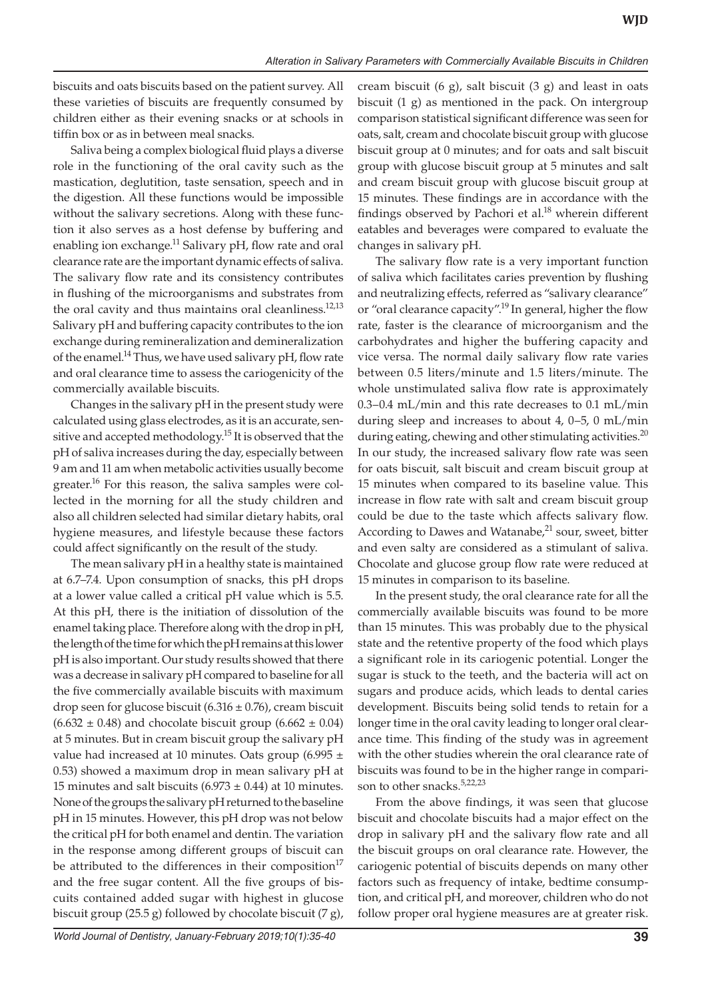biscuits and oats biscuits based on the patient survey. All these varieties of biscuits are frequently consumed by children either as their evening snacks or at schools in tiffin box or as in between meal snacks.

Saliva being a complex biological fluid plays a diverse role in the functioning of the oral cavity such as the mastication, deglutition, taste sensation, speech and in the digestion. All these functions would be impossible without the salivary secretions. Along with these function it also serves as a host defense by buffering and enabling ion exchange.<sup>11</sup> Salivary pH, flow rate and oral clearance rate are the important dynamic effects of saliva. The salivary flow rate and its consistency contributes in flushing of the microorganisms and substrates from the oral cavity and thus maintains oral cleanliness.<sup>12,13</sup> Salivary pH and buffering capacity contributes to the ion exchange during remineralization and demineralization of the enamel.<sup>14</sup> Thus, we have used salivary pH, flow rate and oral clearance time to assess the cariogenicity of the commercially available biscuits.

Changes in the salivary pH in the present study were calculated using glass electrodes, as it is an accurate, sensitive and accepted methodology.<sup>15</sup> It is observed that the pH of saliva increases during the day, especially between 9 am and 11 am when metabolic activities usually become greater.<sup>16</sup> For this reason, the saliva samples were collected in the morning for all the study children and also all children selected had similar dietary habits, oral hygiene measures, and lifestyle because these factors could affect significantly on the result of the study.

The mean salivary pH in a healthy state is maintained at 6.7–7.4. Upon consumption of snacks, this pH drops at a lower value called a critical pH value which is 5.5. At this pH, there is the initiation of dissolution of the enamel taking place. Therefore along with the drop in pH, the length of the time for which the pH remains at this lower pH is also important. Our study results showed that there was a decrease in salivary pH compared to baseline for all the five commercially available biscuits with maximum drop seen for glucose biscuit  $(6.316 \pm 0.76)$ , cream biscuit  $(6.632 \pm 0.48)$  and chocolate biscuit group  $(6.662 \pm 0.04)$ at 5 minutes. But in cream biscuit group the salivary pH value had increased at 10 minutes. Oats group (6.995  $\pm$ 0.53) showed a maximum drop in mean salivary pH at 15 minutes and salt biscuits  $(6.973 \pm 0.44)$  at 10 minutes. None of the groups the salivary pH returned to the baseline pH in 15 minutes. However, this pH drop was not below the critical pH for both enamel and dentin. The variation in the response among different groups of biscuit can be attributed to the differences in their composition<sup>17</sup> and the free sugar content. All the five groups of biscuits contained added sugar with highest in glucose biscuit group (25.5 g) followed by chocolate biscuit (7 g),

cream biscuit  $(6 \text{ g})$ , salt biscuit  $(3 \text{ g})$  and least in oats biscuit (1 g) as mentioned in the pack. On intergroup comparison statistical significant difference was seen for oats, salt, cream and chocolate biscuit group with glucose biscuit group at 0 minutes; and for oats and salt biscuit group with glucose biscuit group at 5 minutes and salt and cream biscuit group with glucose biscuit group at 15 minutes. These findings are in accordance with the findings observed by Pachori et al. $18$  wherein different eatables and beverages were compared to evaluate the changes in salivary pH.

The salivary flow rate is a very important function of saliva which facilitates caries prevention by flushing and neutralizing effects, referred as "salivary clearance" or "oral clearance capacity".<sup>19</sup> In general, higher the flow rate, faster is the clearance of microorganism and the carbohydrates and higher the buffering capacity and vice versa. The normal daily salivary flow rate varies between 0.5 liters/minute and 1.5 liters/minute. The whole unstimulated saliva flow rate is approximately 0.3–0.4 mL/min and this rate decreases to 0.1 mL/min during sleep and increases to about 4, 0–5, 0 mL/min during eating, chewing and other stimulating activities. $^{20}$ In our study, the increased salivary flow rate was seen for oats biscuit, salt biscuit and cream biscuit group at 15 minutes when compared to its baseline value. This increase in flow rate with salt and cream biscuit group could be due to the taste which affects salivary flow. According to Dawes and Watanabe, $21$  sour, sweet, bitter and even salty are considered as a stimulant of saliva. Chocolate and glucose group flow rate were reduced at 15 minutes in comparison to its baseline.

In the present study, the oral clearance rate for all the commercially available biscuits was found to be more than 15 minutes. This was probably due to the physical state and the retentive property of the food which plays a significant role in its cariogenic potential. Longer the sugar is stuck to the teeth, and the bacteria will act on sugars and produce acids, which leads to dental caries development. Biscuits being solid tends to retain for a longer time in the oral cavity leading to longer oral clearance time. This finding of the study was in agreement with the other studies wherein the oral clearance rate of biscuits was found to be in the higher range in comparison to other snacks.<sup>5,22,23</sup>

From the above findings, it was seen that glucose biscuit and chocolate biscuits had a major effect on the drop in salivary pH and the salivary flow rate and all the biscuit groups on oral clearance rate. However, the cariogenic potential of biscuits depends on many other factors such as frequency of intake, bedtime consumption, and critical pH, and moreover, children who do not follow proper oral hygiene measures are at greater risk.